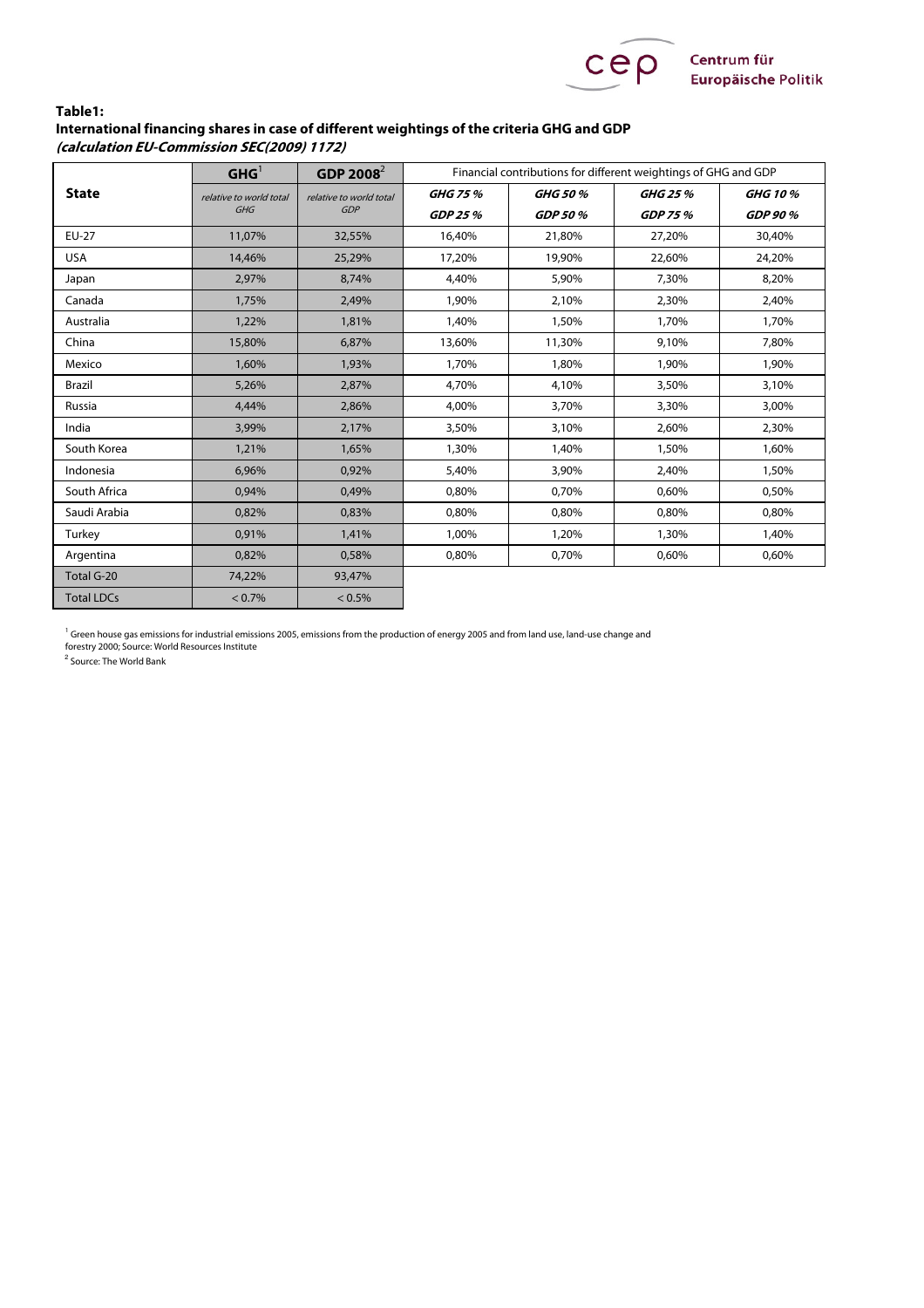

## **Table1: International financing shares in case of different weightings of the criteria GHG and GDP (calculation EU-Commission SEC(2009) 1172)**

| <b>State</b>      | GHG <sup>1</sup>               | GDP 2008 $^{2}$                | Financial contributions for different weightings of GHG and GDP |          |                |                |
|-------------------|--------------------------------|--------------------------------|-----------------------------------------------------------------|----------|----------------|----------------|
|                   | relative to world total<br>GHG | relative to world total<br>GDP | GHG 75 %                                                        | GHG 50 % | GHG 25 %       | <b>GHG 10%</b> |
|                   |                                |                                | GDP 25 %                                                        | GDP 50 % | <b>GDP 75%</b> | GDP 90 %       |
| EU-27             | 11,07%                         | 32,55%                         | 16,40%                                                          | 21,80%   | 27,20%         | 30,40%         |
| <b>USA</b>        | 14,46%                         | 25,29%                         | 17,20%                                                          | 19,90%   | 22,60%         | 24,20%         |
| Japan             | 2,97%                          | 8,74%                          | 4,40%                                                           | 5,90%    | 7,30%          | 8,20%          |
| Canada            | 1,75%                          | 2,49%                          | 1,90%                                                           | 2,10%    | 2,30%          | 2,40%          |
| Australia         | 1,22%                          | 1,81%                          | 1,40%                                                           | 1,50%    | 1,70%          | 1,70%          |
| China             | 15,80%                         | 6,87%                          | 13,60%                                                          | 11,30%   | 9,10%          | 7,80%          |
| Mexico            | 1,60%                          | 1,93%                          | 1,70%                                                           | 1,80%    | 1.90%          | 1.90%          |
| Brazil            | 5,26%                          | 2,87%                          | 4,70%                                                           | 4,10%    | 3,50%          | 3,10%          |
| Russia            | 4.44%                          | 2,86%                          | 4,00%                                                           | 3,70%    | 3,30%          | 3,00%          |
| India             | 3,99%                          | 2,17%                          | 3,50%                                                           | 3,10%    | 2.60%          | 2.30%          |
| South Korea       | 1,21%                          | 1.65%                          | 1,30%                                                           | 1,40%    | 1,50%          | 1.60%          |
| Indonesia         | 6,96%                          | 0,92%                          | 5,40%                                                           | 3,90%    | 2,40%          | 1,50%          |
| South Africa      | 0,94%                          | 0,49%                          | 0,80%                                                           | 0,70%    | 0,60%          | 0,50%          |
| Saudi Arabia      | 0,82%                          | 0.83%                          | 0.80%                                                           | 0.80%    | 0.80%          | 0,80%          |
| Turkey            | 0,91%                          | 1,41%                          | 1,00%                                                           | 1,20%    | 1,30%          | 1,40%          |
| Argentina         | 0,82%                          | 0,58%                          | 0,80%                                                           | 0,70%    | 0,60%          | 0,60%          |
| Total G-20        | 74,22%                         | 93,47%                         |                                                                 |          |                |                |
| <b>Total LDCs</b> | $< 0.7\%$                      | $< 0.5\%$                      |                                                                 |          |                |                |

<sup>1</sup> Green house gas emissions for industrial emissions 2005, emissions from the production of energy 2005 and from land use, land-use change and<br>forestry 2000; Source: World Resources Institute

<sup>2</sup> Source: The World Bank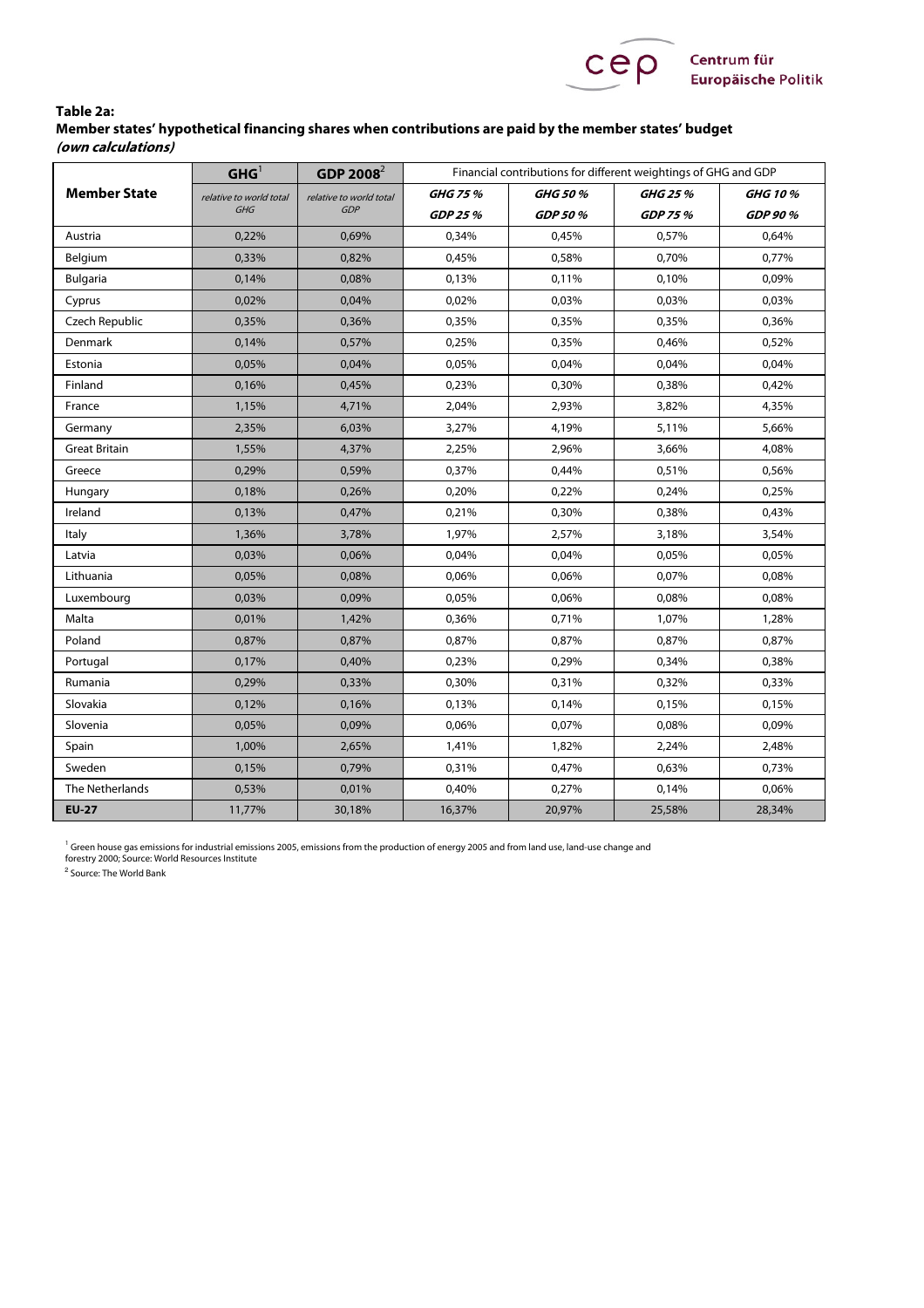

## **Table 2a: Member states' hypothetical financing shares when contributions are paid by the member states' budget (own calculations)**

| <b>Member State</b>  | GHG <sup>1</sup>                      | $GDP 2008^2$                          |          | Financial contributions for different weightings of GHG and GDP |                |                |  |  |
|----------------------|---------------------------------------|---------------------------------------|----------|-----------------------------------------------------------------|----------------|----------------|--|--|
|                      | relative to world total<br><b>GHG</b> | relative to world total<br><b>GDP</b> | GHG 75 % | GHG 50 %                                                        | GHG 25 %       | <b>GHG 10%</b> |  |  |
|                      |                                       |                                       | GDP 25 % | GDP 50 %                                                        | <b>GDP 75%</b> | GDP 90 %       |  |  |
| Austria              | 0,22%                                 | 0,69%                                 | 0,34%    | 0,45%                                                           | 0,57%          | 0,64%          |  |  |
| Belgium              | 0,33%                                 | 0,82%                                 | 0,45%    | 0,58%                                                           | 0,70%          | 0,77%          |  |  |
| <b>Bulgaria</b>      | 0,14%                                 | 0,08%                                 | 0,13%    | 0,11%                                                           | 0,10%          | 0,09%          |  |  |
| Cyprus               | 0,02%                                 | 0,04%                                 | 0,02%    | 0,03%                                                           | 0,03%          | 0,03%          |  |  |
| Czech Republic       | 0,35%                                 | 0,36%                                 | 0,35%    | 0,35%                                                           | 0,35%          | 0,36%          |  |  |
| Denmark              | 0,14%                                 | 0,57%                                 | 0,25%    | 0,35%                                                           | 0,46%          | 0,52%          |  |  |
| Estonia              | 0,05%                                 | 0,04%                                 | 0,05%    | 0,04%                                                           | 0,04%          | 0,04%          |  |  |
| Finland              | 0,16%                                 | 0,45%                                 | 0,23%    | 0,30%                                                           | 0,38%          | 0,42%          |  |  |
| France               | 1,15%                                 | 4,71%                                 | 2,04%    | 2,93%                                                           | 3,82%          | 4,35%          |  |  |
| Germany              | 2,35%                                 | 6,03%                                 | 3,27%    | 4,19%                                                           | 5,11%          | 5,66%          |  |  |
| <b>Great Britain</b> | 1,55%                                 | 4,37%                                 | 2,25%    | 2,96%                                                           | 3,66%          | 4,08%          |  |  |
| Greece               | 0,29%                                 | 0,59%                                 | 0,37%    | 0,44%                                                           | 0,51%          | 0,56%          |  |  |
| Hungary              | 0,18%                                 | 0,26%                                 | 0,20%    | 0,22%                                                           | 0,24%          | 0,25%          |  |  |
| Ireland              | 0,13%                                 | 0,47%                                 | 0,21%    | 0,30%                                                           | 0,38%          | 0,43%          |  |  |
| Italy                | 1,36%                                 | 3,78%                                 | 1,97%    | 2,57%                                                           | 3,18%          | 3,54%          |  |  |
| Latvia               | 0,03%                                 | 0,06%                                 | 0,04%    | 0,04%                                                           | 0,05%          | 0,05%          |  |  |
| Lithuania            | 0,05%                                 | 0,08%                                 | 0,06%    | 0,06%                                                           | 0,07%          | 0,08%          |  |  |
| Luxembourg           | 0,03%                                 | 0,09%                                 | 0,05%    | 0,06%                                                           | 0,08%          | 0,08%          |  |  |
| Malta                | 0,01%                                 | 1,42%                                 | 0,36%    | 0,71%                                                           | 1,07%          | 1,28%          |  |  |
| Poland               | 0,87%                                 | 0,87%                                 | 0,87%    | 0,87%                                                           | 0,87%          | 0,87%          |  |  |
| Portugal             | 0,17%                                 | 0,40%                                 | 0,23%    | 0,29%                                                           | 0,34%          | 0,38%          |  |  |
| Rumania              | 0,29%                                 | 0,33%                                 | 0,30%    | 0,31%                                                           | 0,32%          | 0,33%          |  |  |
| Slovakia             | 0,12%                                 | 0,16%                                 | 0,13%    | 0,14%                                                           | 0,15%          | 0,15%          |  |  |
| Slovenia             | 0,05%                                 | 0,09%                                 | 0,06%    | 0,07%                                                           | 0,08%          | 0,09%          |  |  |
| Spain                | 1,00%                                 | 2,65%                                 | 1,41%    | 1,82%                                                           | 2,24%          | 2,48%          |  |  |
| Sweden               | 0,15%                                 | 0,79%                                 | 0,31%    | 0,47%                                                           | 0,63%          | 0,73%          |  |  |
| The Netherlands      | 0,53%                                 | 0,01%                                 | 0,40%    | 0,27%                                                           | 0,14%          | 0,06%          |  |  |
| <b>EU-27</b>         | 11,77%                                | 30,18%                                | 16,37%   | 20,97%                                                          | 25,58%         | 28,34%         |  |  |

<sup>1</sup> Green house gas emissions for industrial emissions 2005, emissions from the production of energy 2005 and from land use, land-use change and<br>forestry 2000; Source: World Resources Institute

<sup>2</sup> Source: The World Bank